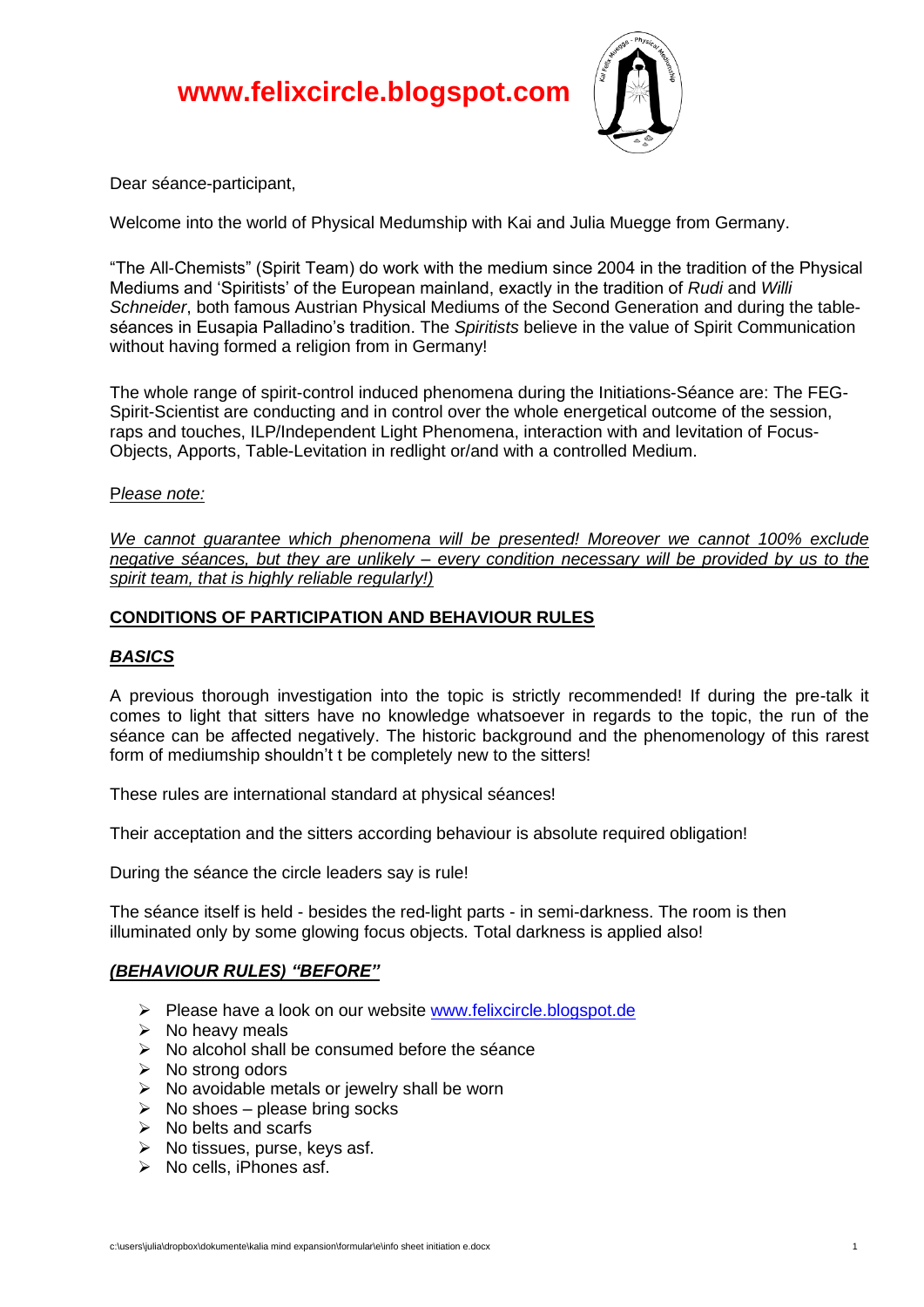

Dear séance-participant,

Welcome into the world of Physical Medumship with Kai and Julia Muegge from Germany.

"The All-Chemists" (Spirit Team) do work with the medium since 2004 in the tradition of the Physical Mediums and 'Spiritists' of the European mainland, exactly in the tradition of *Rudi* and *Willi Schneider*, both famous Austrian Physical Mediums of the Second Generation and during the tableséances in Eusapia Palladino's tradition. The *Spiritists* believe in the value of Spirit Communication without having formed a religion from in Germany!

The whole range of spirit-control induced phenomena during the Initiations-Séance are: The FEG-Spirit-Scientist are conducting and in control over the whole energetical outcome of the session, raps and touches, ILP/Independent Light Phenomena, interaction with and levitation of Focus-Objects, Apports, Table-Levitation in redlight or/and with a controlled Medium.

#### P*lease note:*

*We cannot guarantee which phenomena will be presented! Moreover we cannot 100% exclude negative séances, but they are unlikely – every condition necessary will be provided by us to the spirit team, that is highly reliable regularly!)*

# **CONDITIONS OF PARTICIPATION AND BEHAVIOUR RULES**

### *BASICS*

A previous thorough investigation into the topic is strictly recommended! If during the pre-talk it comes to light that sitters have no knowledge whatsoever in regards to the topic, the run of the séance can be affected negatively. The historic background and the phenomenology of this rarest form of mediumship shouldn't t be completely new to the sitters!

These rules are international standard at physical séances!

Their acceptation and the sitters according behaviour is absolute required obligation!

During the séance the circle leaders say is rule!

The séance itself is held - besides the red-light parts - in semi-darkness. The room is then illuminated only by some glowing focus objects. Total darkness is applied also!

#### *(BEHAVIOUR RULES) "BEFORE"*

- ➢ Please have a look on our website [www.felixcircle.blogspot.de](http://www.felixcircle.blogspot.de/)
- $\triangleright$  No heavy meals
- $\triangleright$  No alcohol shall be consumed before the séance
- ➢ No strong odors
- $\triangleright$  No avoidable metals or jewelry shall be worn
- $\triangleright$  No shoes please bring socks
- $\triangleright$  No belts and scarfs
- $\triangleright$  No tissues, purse, keys asf.
- ➢ No cells, iPhones asf.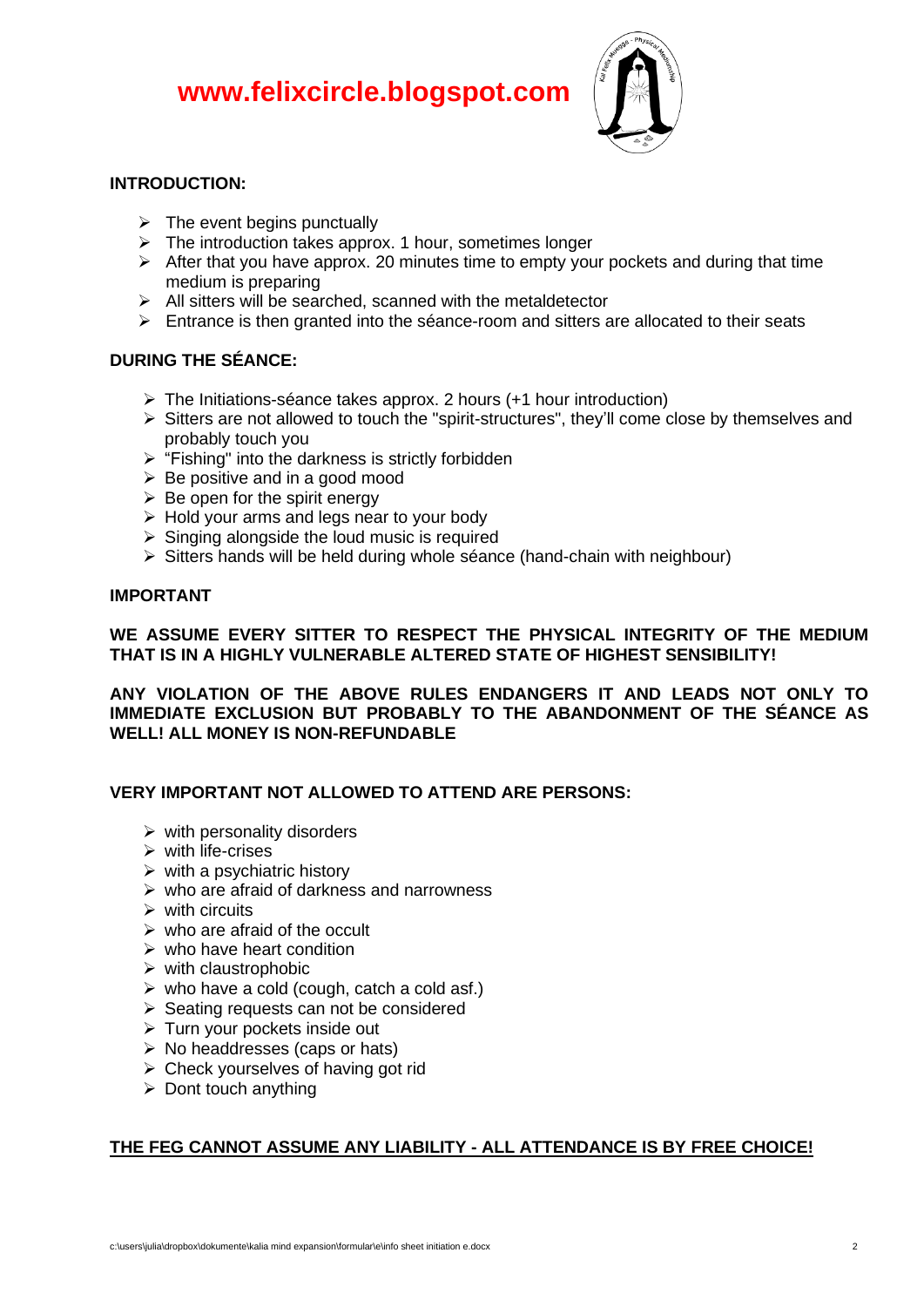

# **INTRODUCTION:**

- $\triangleright$  The event begins punctually
- ➢ The introduction takes approx. 1 hour, sometimes longer
- $\triangleright$  After that you have approx. 20 minutes time to empty your pockets and during that time medium is preparing
- ➢ All sitters will be searched, scanned with the metaldetector
- $\triangleright$  Entrance is then granted into the séance-room and sitters are allocated to their seats

# **DURING THE SÉANCE:**

- ➢ The Initiations-séance takes approx. 2 hours (+1 hour introduction)
- $\triangleright$  Sitters are not allowed to touch the "spirit-structures", they'll come close by themselves and probably touch you
- ➢ "Fishing" into the darkness is strictly forbidden
- $\triangleright$  Be positive and in a good mood
- $\triangleright$  Be open for the spirit energy
- $\triangleright$  Hold your arms and legs near to your body
- $\triangleright$  Singing alongside the loud music is required
- ➢ Sitters hands will be held during whole séance (hand-chain with neighbour)

# **IMPORTANT**

# **WE ASSUME EVERY SITTER TO RESPECT THE PHYSICAL INTEGRITY OF THE MEDIUM THAT IS IN A HIGHLY VULNERABLE ALTERED STATE OF HIGHEST SENSIBILITY!**

**ANY VIOLATION OF THE ABOVE RULES ENDANGERS IT AND LEADS NOT ONLY TO IMMEDIATE EXCLUSION BUT PROBABLY TO THE ABANDONMENT OF THE SÉANCE AS WELL! ALL MONEY IS NON-REFUNDABLE**

# **VERY IMPORTANT NOT ALLOWED TO ATTEND ARE PERSONS:**

- $\triangleright$  with personality disorders
- $\triangleright$  with life-crises
- $\triangleright$  with a psychiatric history
- $\triangleright$  who are afraid of darkness and narrowness
- $\triangleright$  with circuits
- $\triangleright$  who are afraid of the occult
- $\triangleright$  who have heart condition
- $\triangleright$  with claustrophobic
- $\triangleright$  who have a cold (cough, catch a cold asf.)
- ➢ Seating requests can not be considered
- ➢ Turn your pockets inside out
- ➢ No headdresses (caps or hats)
- $\triangleright$  Check yourselves of having got rid
- $\triangleright$  Dont touch anything

# **THE FEG CANNOT ASSUME ANY LIABILITY - ALL ATTENDANCE IS BY FREE CHOICE!**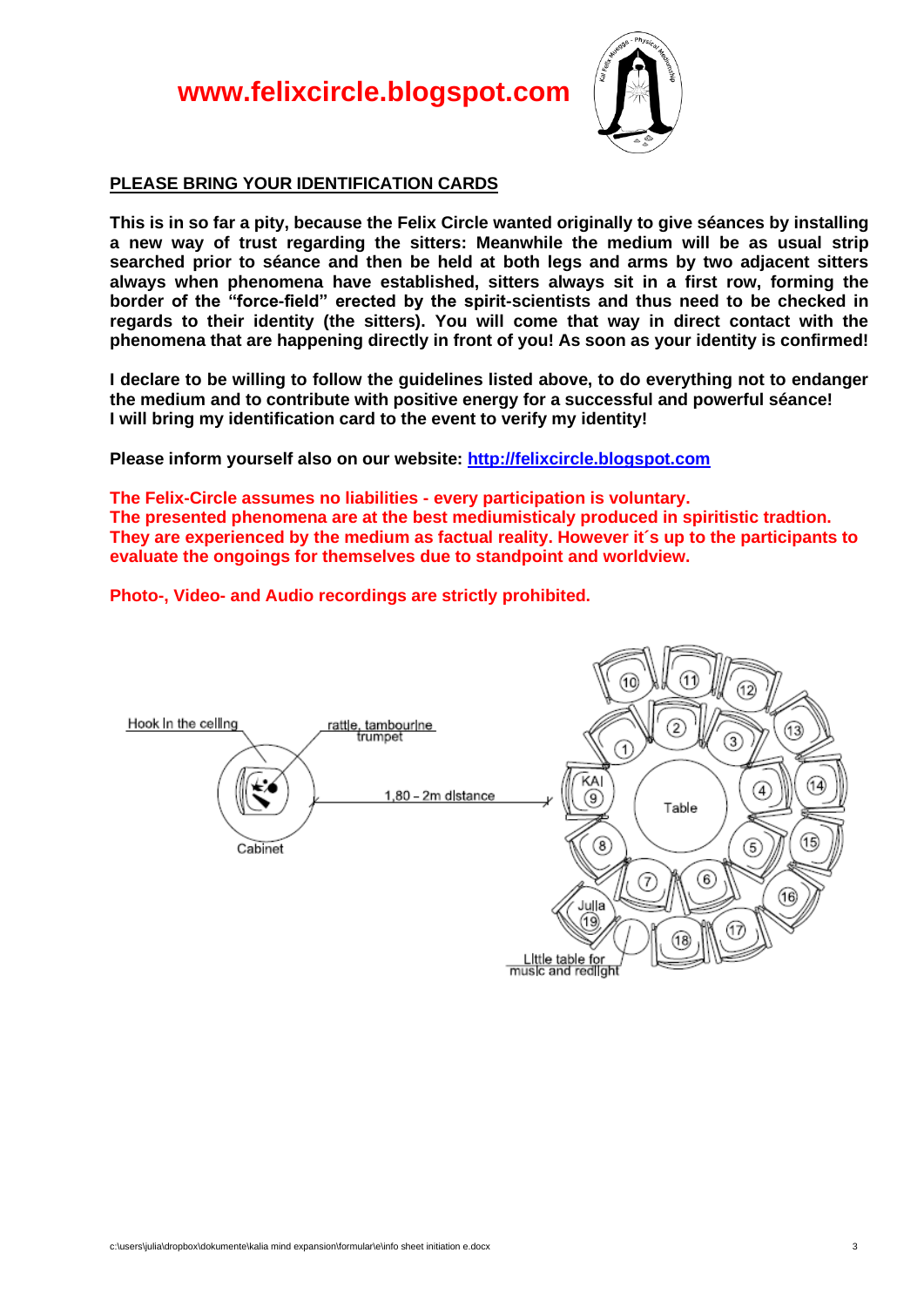

#### **PLEASE BRING YOUR IDENTIFICATION CARDS**

**This is in so far a pity, because the Felix Circle wanted originally to give séances by installing a new way of trust regarding the sitters: Meanwhile the medium will be as usual strip searched prior to séance and then be held at both legs and arms by two adjacent sitters always when phenomena have established, sitters always sit in a first row, forming the border of the "force-field" erected by the spirit-scientists and thus need to be checked in regards to their identity (the sitters). You will come that way in direct contact with the phenomena that are happening directly in front of you! As soon as your identity is confirmed!**

**I declare to be willing to follow the guidelines listed above, to do everything not to endanger the medium and to contribute with positive energy for a successful and powerful séance! I will bring my identification card to the event to verify my identity!** 

**Please inform yourself also on our website: [http://felixcircle.blogspot.c](http://felixcircle.blogspot.de/)om**

**The Felix-Circle assumes no liabilities - every participation is voluntary. The presented phenomena are at the best mediumisticaly produced in spiritistic tradtion. They are experienced by the medium as factual reality. However it´s up to the participants to evaluate the ongoings for themselves due to standpoint and worldview.**

**Photo-, Video- and Audio recordings are strictly prohibited.**